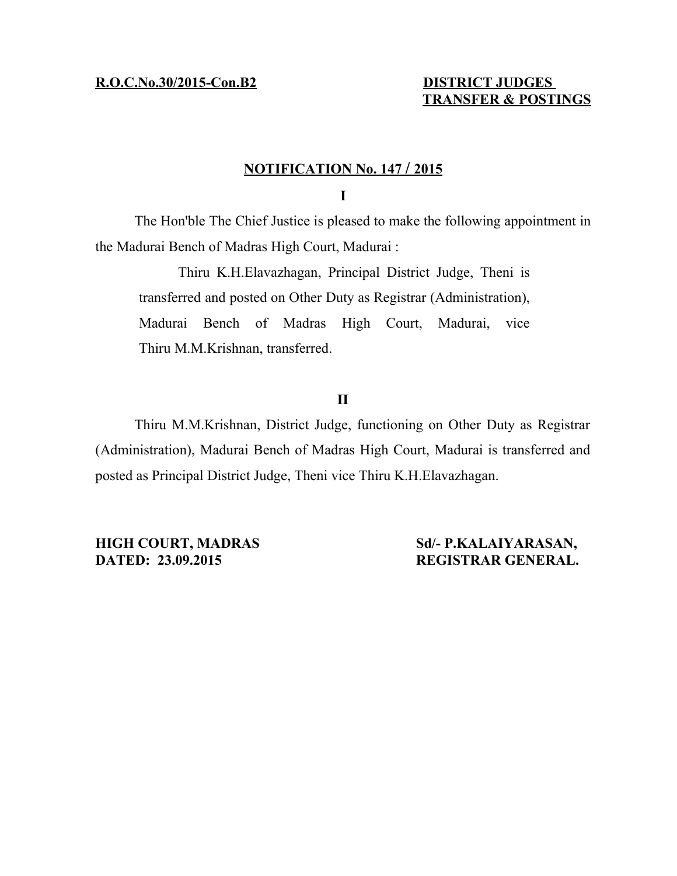# **TRANSFER & POSTINGS**

# **N OTIFICATION No. 147 / 2 015**

## **I**

The Hon'ble The Chief Justice is pleased to make the following appointment in the Madurai Bench of Madras High Court, Madurai :

Thiru K.H.Elavazhagan, Principal District Judge, Theni is transferred and posted on Other Duty as Registrar (Administration), Madurai Bench of Madras High Court, Madurai, vice Thiru M.M.Krishnan, transferred.

## **II**

Thiru M.M.Krishnan, District Judge, functioning on Other Duty as Registrar (Administration), Madurai Bench of Madras High Court, Madurai is transferred and posted as Principal District Judge, Theni vice Thiru K.H.Elavazhagan.

**HIGH COURT, MADRAS Sd/- P.KALAIYARASAN, DATED: 23.09.2015 REGISTRAR GENERAL.**